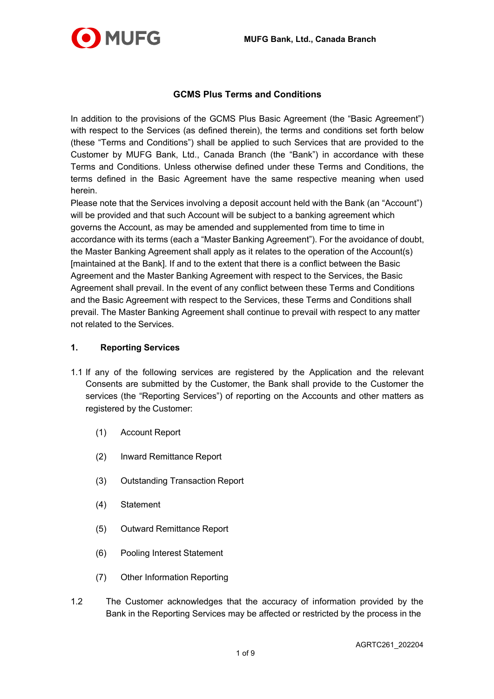

# **GCMS Plus Terms and Conditions**

In addition to the provisions of the GCMS Plus Basic Agreement (the "Basic Agreement") with respect to the Services (as defined therein), the terms and conditions set forth below (these "Terms and Conditions") shall be applied to such Services that are provided to the Customer by MUFG Bank, Ltd., Canada Branch (the "Bank") in accordance with these Terms and Conditions. Unless otherwise defined under these Terms and Conditions, the terms defined in the Basic Agreement have the same respective meaning when used herein.

Please note that the Services involving a deposit account held with the Bank (an "Account") will be provided and that such Account will be subject to a banking agreement which governs the Account, as may be amended and supplemented from time to time in accordance with its terms (each a "Master Banking Agreement"). For the avoidance of doubt, the Master Banking Agreement shall apply as it relates to the operation of the Account(s) [maintained at the Bank]. If and to the extent that there is a conflict between the Basic Agreement and the Master Banking Agreement with respect to the Services, the Basic Agreement shall prevail. In the event of any conflict between these Terms and Conditions and the Basic Agreement with respect to the Services, these Terms and Conditions shall prevail. The Master Banking Agreement shall continue to prevail with respect to any matter not related to the Services.

### **1. Reporting Services**

- 1.1 If any of the following services are registered by the Application and the relevant Consents are submitted by the Customer, the Bank shall provide to the Customer the services (the "Reporting Services") of reporting on the Accounts and other matters as registered by the Customer:
	- (1) Account Report
	- (2) Inward Remittance Report
	- (3) Outstanding Transaction Report
	- (4) Statement
	- (5) Outward Remittance Report
	- (6) Pooling Interest Statement
	- (7) Other Information Reporting
- 1.2 The Customer acknowledges that the accuracy of information provided by the Bank in the Reporting Services may be affected or restricted by the process in the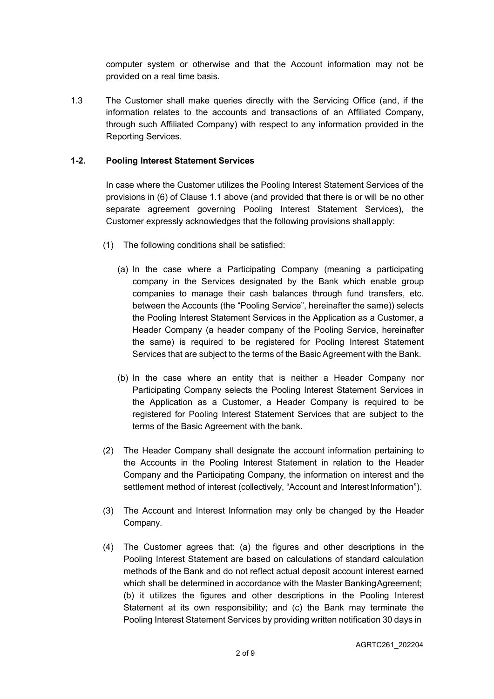computer system or otherwise and that the Account information may not be provided on a real time basis.

1.3 The Customer shall make queries directly with the Servicing Office (and, if the information relates to the accounts and transactions of an Affiliated Company, through such Affiliated Company) with respect to any information provided in the Reporting Services.

### **1-2. Pooling Interest Statement Services**

In case where the Customer utilizes the Pooling Interest Statement Services of the provisions in (6) of Clause 1.1 above (and provided that there is or will be no other separate agreement governing Pooling Interest Statement Services), the Customer expressly acknowledges that the following provisions shall apply:

- (1) The following conditions shall be satisfied:
	- (a) In the case where a Participating Company (meaning a participating company in the Services designated by the Bank which enable group companies to manage their cash balances through fund transfers, etc. between the Accounts (the "Pooling Service", hereinafter the same)) selects the Pooling Interest Statement Services in the Application as a Customer, a Header Company (a header company of the Pooling Service, hereinafter the same) is required to be registered for Pooling Interest Statement Services that are subject to the terms of the Basic Agreement with the Bank.
	- (b) In the case where an entity that is neither a Header Company nor Participating Company selects the Pooling Interest Statement Services in the Application as a Customer, a Header Company is required to be registered for Pooling Interest Statement Services that are subject to the terms of the Basic Agreement with the bank.
- (2) The Header Company shall designate the account information pertaining to the Accounts in the Pooling Interest Statement in relation to the Header Company and the Participating Company, the information on interest and the settlement method of interest (collectively, "Account and Interest Information").
- (3) The Account and Interest Information may only be changed by the Header Company.
- (4) The Customer agrees that: (a) the figures and other descriptions in the Pooling Interest Statement are based on calculations of standard calculation methods of the Bank and do not reflect actual deposit account interest earned which shall be determined in accordance with the Master BankingAgreement; (b) it utilizes the figures and other descriptions in the Pooling Interest Statement at its own responsibility; and (c) the Bank may terminate the Pooling Interest Statement Services by providing written notification 30 days in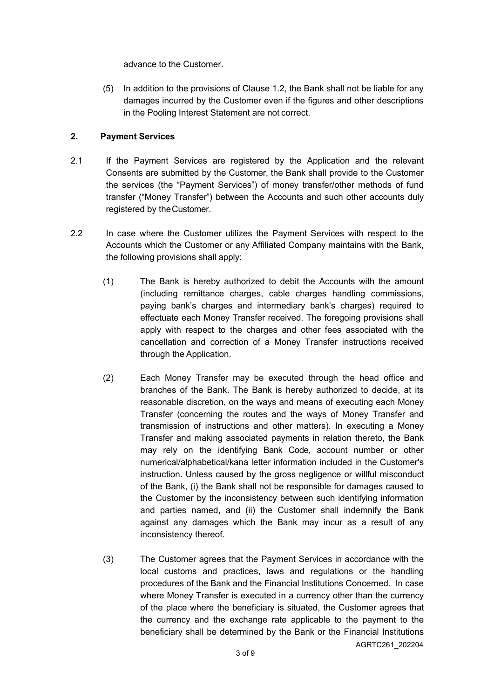advance to the Customer.

(5) In addition to the provisions of Clause 1.2, the Bank shall not be liable for any damages incurred by the Customer even if the figures and other descriptions in the Pooling Interest Statement are not correct.

### **2. Payment Services**

- 2.1 If the Payment Services are registered by the Application and the relevant Consents are submitted by the Customer, the Bank shall provide to the Customer the services (the "Payment Services") of money transfer/other methods of fund transfer ("Money Transfer") between the Accounts and such other accounts duly registered by theCustomer.
- 2.2 In case where the Customer utilizes the Payment Services with respect to the Accounts which the Customer or any Affiliated Company maintains with the Bank, the following provisions shall apply:
	- (1) The Bank is hereby authorized to debit the Accounts with the amount (including remittance charges, cable charges handling commissions, paying bank's charges and intermediary bank's charges) required to effectuate each Money Transfer received. The foregoing provisions shall apply with respect to the charges and other fees associated with the cancellation and correction of a Money Transfer instructions received through the Application.
	- (2) Each Money Transfer may be executed through the head office and branches of the Bank. The Bank is hereby authorized to decide, at its reasonable discretion, on the ways and means of executing each Money Transfer (concerning the routes and the ways of Money Transfer and transmission of instructions and other matters). In executing a Money Transfer and making associated payments in relation thereto, the Bank may rely on the identifying Bank Code, account number or other numerical/alphabetical/kana letter information included in the Customer's instruction. Unless caused by the gross negligence or willful misconduct of the Bank, (i) the Bank shall not be responsible for damages caused to the Customer by the inconsistency between such identifying information and parties named, and (ii) the Customer shall indemnify the Bank against any damages which the Bank may incur as a result of any inconsistency thereof.
	- AGRTC261\_202204 (3) The Customer agrees that the Payment Services in accordance with the local customs and practices, laws and regulations or the handling procedures of the Bank and the Financial Institutions Concerned. In case where Money Transfer is executed in a currency other than the currency of the place where the beneficiary is situated, the Customer agrees that the currency and the exchange rate applicable to the payment to the beneficiary shall be determined by the Bank or the Financial Institutions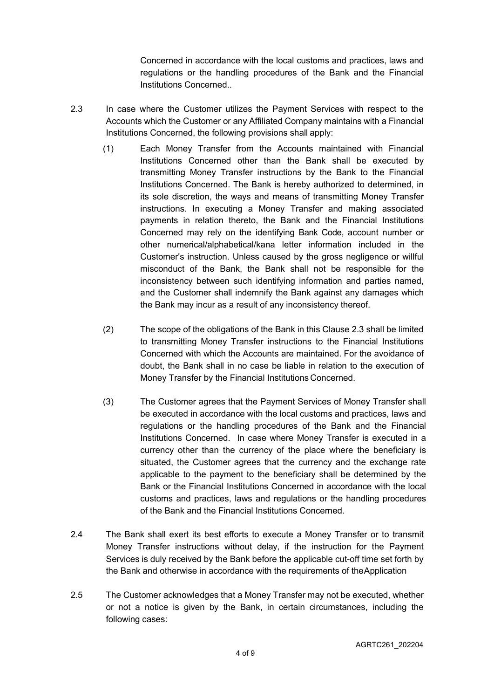Concerned in accordance with the local customs and practices, laws and regulations or the handling procedures of the Bank and the Financial Institutions Concerned..

- 2.3 In case where the Customer utilizes the Payment Services with respect to the Accounts which the Customer or any Affiliated Company maintains with a Financial Institutions Concerned, the following provisions shall apply:
	- (1) Each Money Transfer from the Accounts maintained with Financial Institutions Concerned other than the Bank shall be executed by transmitting Money Transfer instructions by the Bank to the Financial Institutions Concerned. The Bank is hereby authorized to determined, in its sole discretion, the ways and means of transmitting Money Transfer instructions. In executing a Money Transfer and making associated payments in relation thereto, the Bank and the Financial Institutions Concerned may rely on the identifying Bank Code, account number or other numerical/alphabetical/kana letter information included in the Customer's instruction. Unless caused by the gross negligence or willful misconduct of the Bank, the Bank shall not be responsible for the inconsistency between such identifying information and parties named, and the Customer shall indemnify the Bank against any damages which the Bank may incur as a result of any inconsistency thereof.
	- (2) The scope of the obligations of the Bank in this Clause 2.3 shall be limited to transmitting Money Transfer instructions to the Financial Institutions Concerned with which the Accounts are maintained. For the avoidance of doubt, the Bank shall in no case be liable in relation to the execution of Money Transfer by the Financial Institutions Concerned.
	- (3) The Customer agrees that the Payment Services of Money Transfer shall be executed in accordance with the local customs and practices, laws and regulations or the handling procedures of the Bank and the Financial Institutions Concerned. In case where Money Transfer is executed in a currency other than the currency of the place where the beneficiary is situated, the Customer agrees that the currency and the exchange rate applicable to the payment to the beneficiary shall be determined by the Bank or the Financial Institutions Concerned in accordance with the local customs and practices, laws and regulations or the handling procedures of the Bank and the Financial Institutions Concerned.
- 2.4 The Bank shall exert its best efforts to execute a Money Transfer or to transmit Money Transfer instructions without delay, if the instruction for the Payment Services is duly received by the Bank before the applicable cut-off time set forth by the Bank and otherwise in accordance with the requirements of theApplication
- 2.5 The Customer acknowledges that a Money Transfer may not be executed, whether or not a notice is given by the Bank, in certain circumstances, including the following cases: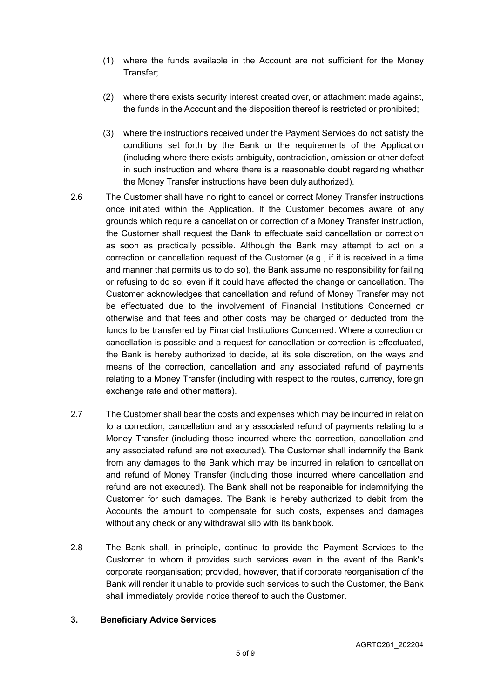- (1) where the funds available in the Account are not sufficient for the Money Transfer;
- (2) where there exists security interest created over, or attachment made against, the funds in the Account and the disposition thereof is restricted or prohibited;
- (3) where the instructions received under the Payment Services do not satisfy the conditions set forth by the Bank or the requirements of the Application (including where there exists ambiguity, contradiction, omission or other defect in such instruction and where there is a reasonable doubt regarding whether the Money Transfer instructions have been duly authorized).
- 2.6 The Customer shall have no right to cancel or correct Money Transfer instructions once initiated within the Application. If the Customer becomes aware of any grounds which require a cancellation or correction of a Money Transfer instruction, the Customer shall request the Bank to effectuate said cancellation or correction as soon as practically possible. Although the Bank may attempt to act on a correction or cancellation request of the Customer (e.g., if it is received in a time and manner that permits us to do so), the Bank assume no responsibility for failing or refusing to do so, even if it could have affected the change or cancellation. The Customer acknowledges that cancellation and refund of Money Transfer may not be effectuated due to the involvement of Financial Institutions Concerned or otherwise and that fees and other costs may be charged or deducted from the funds to be transferred by Financial Institutions Concerned. Where a correction or cancellation is possible and a request for cancellation or correction is effectuated, the Bank is hereby authorized to decide, at its sole discretion, on the ways and means of the correction, cancellation and any associated refund of payments relating to a Money Transfer (including with respect to the routes, currency, foreign exchange rate and other matters).
- 2.7 The Customer shall bear the costs and expenses which may be incurred in relation to a correction, cancellation and any associated refund of payments relating to a Money Transfer (including those incurred where the correction, cancellation and any associated refund are not executed). The Customer shall indemnify the Bank from any damages to the Bank which may be incurred in relation to cancellation and refund of Money Transfer (including those incurred where cancellation and refund are not executed). The Bank shall not be responsible for indemnifying the Customer for such damages. The Bank is hereby authorized to debit from the Accounts the amount to compensate for such costs, expenses and damages without any check or any withdrawal slip with its bank book.
- 2.8 The Bank shall, in principle, continue to provide the Payment Services to the Customer to whom it provides such services even in the event of the Bank's corporate reorganisation; provided, however, that if corporate reorganisation of the Bank will render it unable to provide such services to such the Customer, the Bank shall immediately provide notice thereof to such the Customer.

#### **3. Beneficiary Advice Services**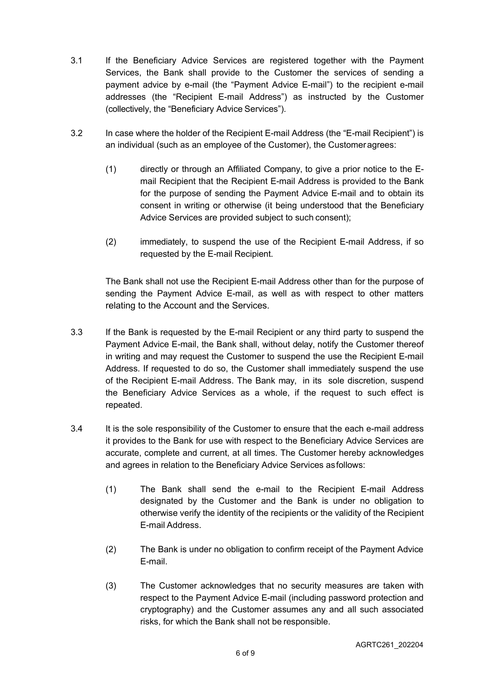- 3.1 If the Beneficiary Advice Services are registered together with the Payment Services, the Bank shall provide to the Customer the services of sending a payment advice by e-mail (the "Payment Advice E-mail") to the recipient e-mail addresses (the "Recipient E-mail Address") as instructed by the Customer (collectively, the "Beneficiary Advice Services").
- 3.2 In case where the holder of the Recipient E-mail Address (the "E-mail Recipient") is an individual (such as an employee of the Customer), the Customeragrees:
	- (1) directly or through an Affiliated Company, to give a prior notice to the Email Recipient that the Recipient E-mail Address is provided to the Bank for the purpose of sending the Payment Advice E-mail and to obtain its consent in writing or otherwise (it being understood that the Beneficiary Advice Services are provided subject to such consent);
	- (2) immediately, to suspend the use of the Recipient E-mail Address, if so requested by the E-mail Recipient.

The Bank shall not use the Recipient E-mail Address other than for the purpose of sending the Payment Advice E-mail, as well as with respect to other matters relating to the Account and the Services.

- 3.3 If the Bank is requested by the E-mail Recipient or any third party to suspend the Payment Advice E-mail, the Bank shall, without delay, notify the Customer thereof in writing and may request the Customer to suspend the use the Recipient E-mail Address. If requested to do so, the Customer shall immediately suspend the use of the Recipient E-mail Address. The Bank may, in its sole discretion, suspend the Beneficiary Advice Services as a whole, if the request to such effect is repeated.
- 3.4 It is the sole responsibility of the Customer to ensure that the each e-mail address it provides to the Bank for use with respect to the Beneficiary Advice Services are accurate, complete and current, at all times. The Customer hereby acknowledges and agrees in relation to the Beneficiary Advice Services asfollows:
	- (1) The Bank shall send the e-mail to the Recipient E-mail Address designated by the Customer and the Bank is under no obligation to otherwise verify the identity of the recipients or the validity of the Recipient E-mail Address.
	- (2) The Bank is under no obligation to confirm receipt of the Payment Advice E-mail.
	- (3) The Customer acknowledges that no security measures are taken with respect to the Payment Advice E-mail (including password protection and cryptography) and the Customer assumes any and all such associated risks, for which the Bank shall not be responsible.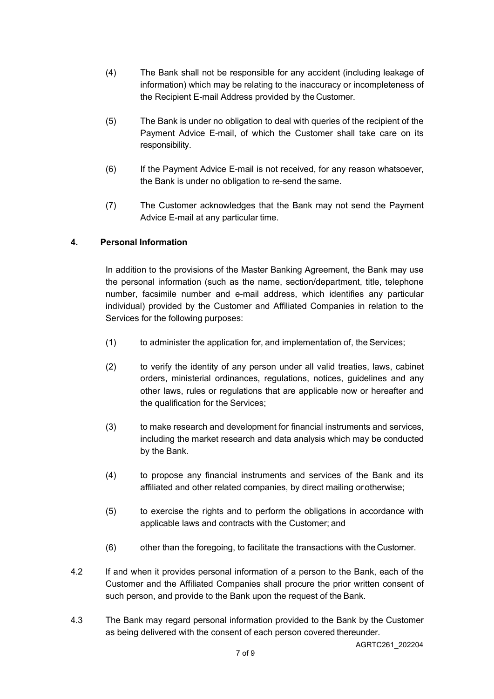- (4) The Bank shall not be responsible for any accident (including leakage of information) which may be relating to the inaccuracy or incompleteness of the Recipient E-mail Address provided by the Customer.
- (5) The Bank is under no obligation to deal with queries of the recipient of the Payment Advice E-mail, of which the Customer shall take care on its responsibility.
- (6) If the Payment Advice E-mail is not received, for any reason whatsoever, the Bank is under no obligation to re-send the same.
- (7) The Customer acknowledges that the Bank may not send the Payment Advice E-mail at any particular time.

# **4. Personal Information**

In addition to the provisions of the Master Banking Agreement, the Bank may use the personal information (such as the name, section/department, title, telephone number, facsimile number and e-mail address, which identifies any particular individual) provided by the Customer and Affiliated Companies in relation to the Services for the following purposes:

- (1) to administer the application for, and implementation of, the Services;
- (2) to verify the identity of any person under all valid treaties, laws, cabinet orders, ministerial ordinances, regulations, notices, guidelines and any other laws, rules or regulations that are applicable now or hereafter and the qualification for the Services;
- (3) to make research and development for financial instruments and services, including the market research and data analysis which may be conducted by the Bank.
- (4) to propose any financial instruments and services of the Bank and its affiliated and other related companies, by direct mailing orotherwise;
- (5) to exercise the rights and to perform the obligations in accordance with applicable laws and contracts with the Customer; and
- (6) other than the foregoing, to facilitate the transactions with theCustomer.
- 4.2 If and when it provides personal information of a person to the Bank, each of the Customer and the Affiliated Companies shall procure the prior written consent of such person, and provide to the Bank upon the request of the Bank.
- 4.3 The Bank may regard personal information provided to the Bank by the Customer as being delivered with the consent of each person covered thereunder.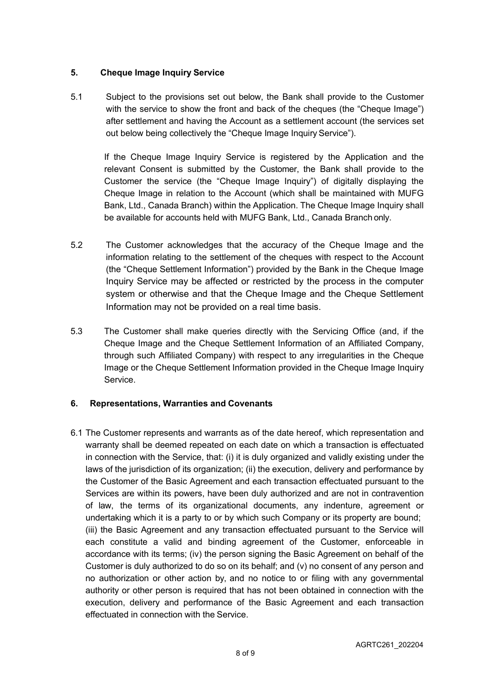### **5. Cheque Image Inquiry Service**

5.1 Subject to the provisions set out below, the Bank shall provide to the Customer with the service to show the front and back of the cheques (the "Cheque Image") after settlement and having the Account as a settlement account (the services set out below being collectively the "Cheque Image Inquiry Service").

If the Cheque Image Inquiry Service is registered by the Application and the relevant Consent is submitted by the Customer, the Bank shall provide to the Customer the service (the "Cheque Image Inquiry") of digitally displaying the Cheque Image in relation to the Account (which shall be maintained with MUFG Bank, Ltd., Canada Branch) within the Application. The Cheque Image Inquiry shall be available for accounts held with MUFG Bank, Ltd., Canada Branch only.

- 5.2 The Customer acknowledges that the accuracy of the Cheque Image and the information relating to the settlement of the cheques with respect to the Account (the "Cheque Settlement Information") provided by the Bank in the Cheque Image Inquiry Service may be affected or restricted by the process in the computer system or otherwise and that the Cheque Image and the Cheque Settlement Information may not be provided on a real time basis.
- 5.3 The Customer shall make queries directly with the Servicing Office (and, if the Cheque Image and the Cheque Settlement Information of an Affiliated Company, through such Affiliated Company) with respect to any irregularities in the Cheque Image or the Cheque Settlement Information provided in the Cheque Image Inquiry Service.

# **6. Representations, Warranties and Covenants**

6.1 The Customer represents and warrants as of the date hereof, which representation and warranty shall be deemed repeated on each date on which a transaction is effectuated in connection with the Service, that: (i) it is duly organized and validly existing under the laws of the jurisdiction of its organization; (ii) the execution, delivery and performance by the Customer of the Basic Agreement and each transaction effectuated pursuant to the Services are within its powers, have been duly authorized and are not in contravention of law, the terms of its organizational documents, any indenture, agreement or undertaking which it is a party to or by which such Company or its property are bound; (iii) the Basic Agreement and any transaction effectuated pursuant to the Service will each constitute a valid and binding agreement of the Customer, enforceable in accordance with its terms; (iv) the person signing the Basic Agreement on behalf of the Customer is duly authorized to do so on its behalf; and (v) no consent of any person and no authorization or other action by, and no notice to or filing with any governmental authority or other person is required that has not been obtained in connection with the execution, delivery and performance of the Basic Agreement and each transaction effectuated in connection with the Service.